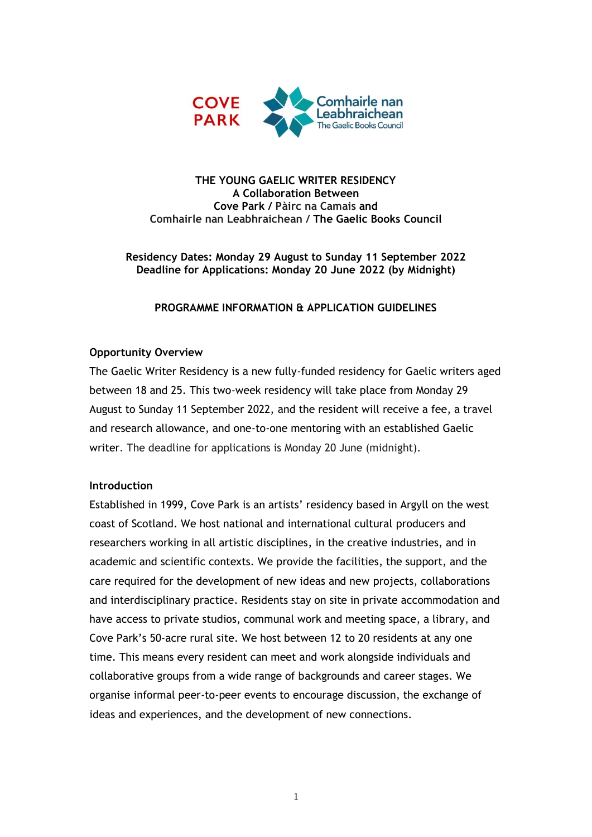

### **THE YOUNG GAELIC WRITER RESIDENCY A Collaboration Between Cove Park / Pàirc na Camais and Comhairle nan Leabhraichean / The Gaelic Books Council**

**Residency Dates: Monday 29 August to Sunday 11 September 2022 Deadline for Applications: Monday 20 June 2022 (by Midnight)**

### **PROGRAMME INFORMATION & APPLICATION GUIDELINES**

## **Opportunity Overview**

The Gaelic Writer Residency is a new fully-funded residency for Gaelic writers aged between 18 and 25. This two-week residency will take place from Monday 29 August to Sunday 11 September 2022, and the resident will receive a fee, a travel and research allowance, and one-to-one mentoring with an established Gaelic writer. The deadline for applications is Monday 20 June (midnight).

### **Introduction**

Established in 1999, Cove Park is an artists' residency based in Argyll on the west coast of Scotland. We host national and international cultural producers and researchers working in all artistic disciplines, in the creative industries, and in academic and scientific contexts. We provide the facilities, the support, and the care required for the development of new ideas and new projects, collaborations and interdisciplinary practice. Residents stay on site in private accommodation and have access to private studios, communal work and meeting space, a library, and Cove Park's 50-acre rural site. We host between 12 to 20 residents at any one time. This means every resident can meet and work alongside individuals and collaborative groups from a wide range of backgrounds and career stages. We organise informal peer-to-peer events to encourage discussion, the exchange of ideas and experiences, and the development of new connections.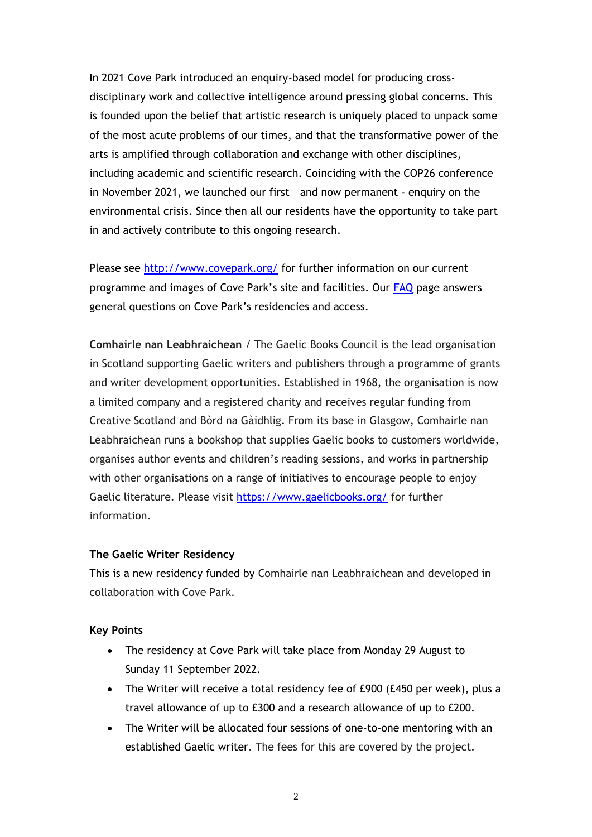In 2021 Cove Park introduced an enquiry-based model for producing crossdisciplinary work and collective intelligence around pressing global concerns. This is founded upon the belief that artistic research is uniquely placed to unpack some of the most acute problems of our times, and that the transformative power of the arts is amplified through collaboration and exchange with other disciplines, including academic and scientific research. Coinciding with the COP26 conference in November 2021, we launched our first – and now permanent - enquiry on the environmental crisis. Since then all our residents have the opportunity to take part in and actively contribute to this ongoing research.

Please see<http://www.covepark.org/> for further information on our current programme and images of Cove Park's site and facilities. Our [FAQ](https://covepark.org/residencies-faq/) page answers general questions on Cove Park's residencies and access.

**Comhairle nan Leabhraichean** / The Gaelic Books Council is the lead organisation in Scotland supporting Gaelic writers and publishers through a programme of grants and writer development opportunities. Established in 1968, the organisation is now a limited company and a registered charity and receives regular funding from Creative Scotland and Bòrd na Gàidhlig. From its base in Glasgow, Comhairle nan Leabhraichean runs a bookshop that supplies Gaelic books to customers worldwide, organises author events and children's reading sessions, and works in partnership with other organisations on a range of initiatives to encourage people to enjoy Gaelic literature. Please visit<https://www.gaelicbooks.org/> for further information.

#### **The Gaelic Writer Residency**

This is a new residency funded by Comhairle nan Leabhraichean and developed in collaboration with Cove Park.

#### **Key Points**

- The residency at Cove Park will take place from Monday 29 August to Sunday 11 September 2022.
- The Writer will receive a total residency fee of £900 (£450 per week), plus a travel allowance of up to £300 and a research allowance of up to £200.
- The Writer will be allocated four sessions of one-to-one mentoring with an established Gaelic writer. The fees for this are covered by the project.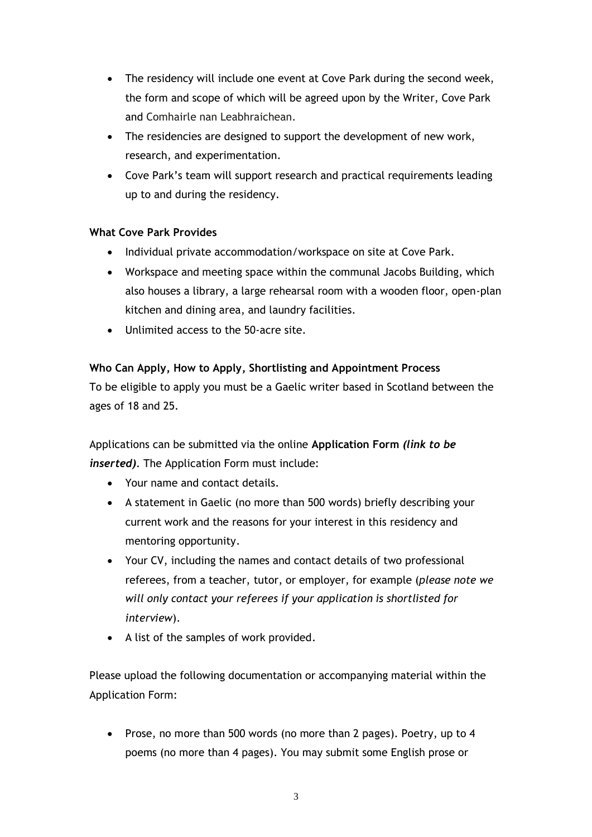- The residency will include one event at Cove Park during the second week, the form and scope of which will be agreed upon by the Writer, Cove Park and Comhairle nan Leabhraichean.
- The residencies are designed to support the development of new work, research, and experimentation.
- Cove Park's team will support research and practical requirements leading up to and during the residency.

# **What Cove Park Provides**

- Individual private accommodation/workspace on site at Cove Park.
- Workspace and meeting space within the communal Jacobs Building, which also houses a library, a large rehearsal room with a wooden floor, open-plan kitchen and dining area, and laundry facilities.
- Unlimited access to the 50-acre site.

# **Who Can Apply, How to Apply, Shortlisting and Appointment Process**

To be eligible to apply you must be a Gaelic writer based in Scotland between the ages of 18 and 25.

Applications can be submitted via the online **Application Form** *(link to be inserted)*. The Application Form must include:

- Your name and contact details.
- A statement in Gaelic (no more than 500 words) briefly describing your current work and the reasons for your interest in this residency and mentoring opportunity.
- Your CV, including the names and contact details of two professional referees, from a teacher, tutor, or employer, for example (*please note we will only contact your referees if your application is shortlisted for interview*).
- A list of the samples of work provided.

Please upload the following documentation or accompanying material within the Application Form:

• Prose, no more than 500 words (no more than 2 pages). Poetry, up to 4 poems (no more than 4 pages). You may submit some English prose or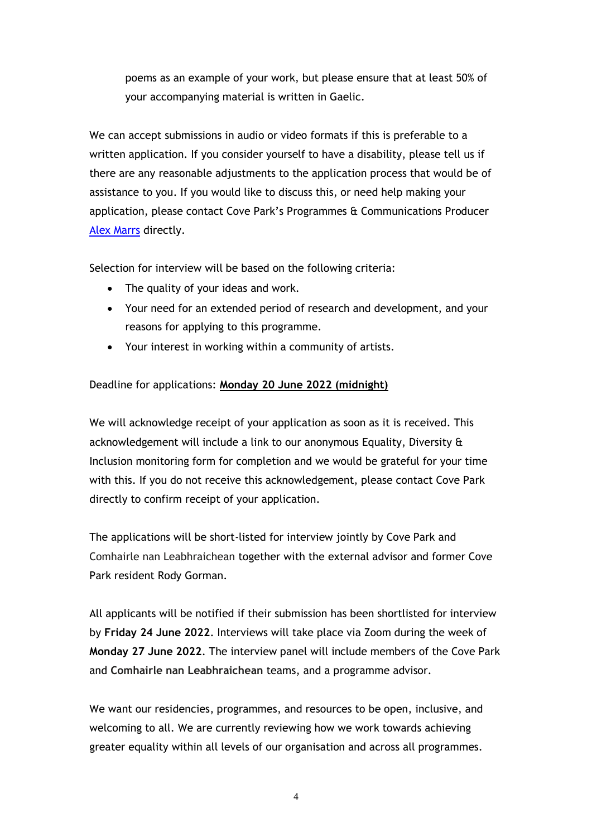poems as an example of your work, but please ensure that at least 50% of your accompanying material is written in Gaelic.

We can accept submissions in audio or video formats if this is preferable to a written application. If you consider yourself to have a disability, please tell us if there are any reasonable adjustments to the application process that would be of assistance to you. If you would like to discuss this, or need help making your application, please contact Cove Park's Programmes & Communications Producer [Alex Marrs](mailto:mailto:alexmarrs) directly.

Selection for interview will be based on the following criteria:

- The quality of your ideas and work.
- Your need for an extended period of research and development, and your reasons for applying to this programme.
- Your interest in working within a community of artists.

# Deadline for applications: **Monday 20 June 2022 (midnight)**

We will acknowledge receipt of your application as soon as it is received. This acknowledgement will include a link to our anonymous Equality, Diversity & Inclusion monitoring form for completion and we would be grateful for your time with this. If you do not receive this acknowledgement, please contact Cove Park directly to confirm receipt of your application.

The applications will be short-listed for interview jointly by Cove Park and Comhairle nan Leabhraichean together with the external advisor and former Cove Park resident Rody Gorman.

All applicants will be notified if their submission has been shortlisted for interview by **Friday 24 June 2022**. Interviews will take place via Zoom during the week of **Monday 27 June 2022**. The interview panel will include members of the Cove Park and **Comhairle nan Leabhraichean** teams, and a programme advisor.

We want our residencies, programmes, and resources to be open, inclusive, and welcoming to all. We are currently reviewing how we work towards achieving greater equality within all levels of our organisation and across all programmes.